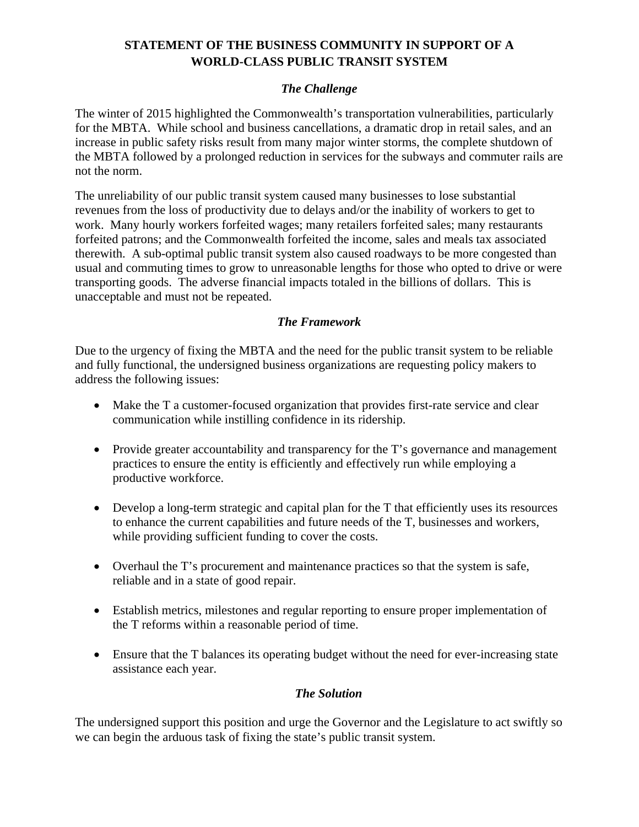# **STATEMENT OF THE BUSINESS COMMUNITY IN SUPPORT OF A WORLD-CLASS PUBLIC TRANSIT SYSTEM**

### *The Challenge*

The winter of 2015 highlighted the Commonwealth's transportation vulnerabilities, particularly for the MBTA. While school and business cancellations, a dramatic drop in retail sales, and an increase in public safety risks result from many major winter storms, the complete shutdown of the MBTA followed by a prolonged reduction in services for the subways and commuter rails are not the norm.

The unreliability of our public transit system caused many businesses to lose substantial revenues from the loss of productivity due to delays and/or the inability of workers to get to work. Many hourly workers forfeited wages; many retailers forfeited sales; many restaurants forfeited patrons; and the Commonwealth forfeited the income, sales and meals tax associated therewith. A sub-optimal public transit system also caused roadways to be more congested than usual and commuting times to grow to unreasonable lengths for those who opted to drive or were transporting goods. The adverse financial impacts totaled in the billions of dollars. This is unacceptable and must not be repeated.

### *The Framework*

Due to the urgency of fixing the MBTA and the need for the public transit system to be reliable and fully functional, the undersigned business organizations are requesting policy makers to address the following issues:

- Make the T a customer-focused organization that provides first-rate service and clear communication while instilling confidence in its ridership.
- Provide greater accountability and transparency for the T's governance and management practices to ensure the entity is efficiently and effectively run while employing a productive workforce.
- Develop a long-term strategic and capital plan for the T that efficiently uses its resources to enhance the current capabilities and future needs of the T, businesses and workers, while providing sufficient funding to cover the costs.
- Overhaul the T's procurement and maintenance practices so that the system is safe, reliable and in a state of good repair.
- Establish metrics, milestones and regular reporting to ensure proper implementation of the T reforms within a reasonable period of time.
- Ensure that the T balances its operating budget without the need for ever-increasing state assistance each year.

#### *The Solution*

The undersigned support this position and urge the Governor and the Legislature to act swiftly so we can begin the arduous task of fixing the state's public transit system.